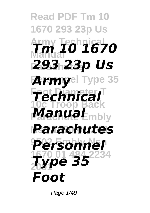## **Read PDF Tm 10 1670 293 23p Us Army Technical Manual** *Tm 10 1670* **Parachutes** *293 23p Us* **Armyel Type 35 Foot Diameter T** *Technical* **10c Troop Back ManuaL**<sub>mbly</sub> **Nsn 1670 01 248** *Parachutes* **9502 Embly Nsn** *Personnel* **1670 01 484 2234 2001** *Type 35 Foot*

Page 1/49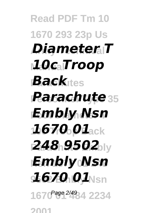**Read PDF Tm 10 1670 293 23p Us Army Technical** *Diameter T* **Manual** *10c Troop Back*ttes *Parachute* 35 **Foot Diameter T** *Embly Nsn* **10c Troop Back** *1670 01* **248 9502 Nsn 1670 01 248** *Embly Nsn* **9502 Embly Nsn** *1670 01* **1670 01 484 2234** Page 2/49**2001**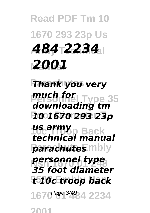## **Read PDF Tm 10 1670 293 23p Us Army Technical** *484 2234* **Manual** *2001*

## **Thank you very Personnel Type 35** *much for* **Foot Diameter T** *10 1670 293 23p downloading tm*

**10c Troop Back** *us army parachutes* mbly *technical manual*

**personnel type 9502 Embly Nsn** *t 10c troop back 35 foot diameter*

1670<sup>Page 3/49</sup>84 2234 **2001**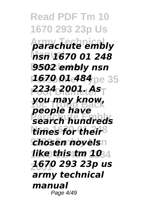**Read PDF Tm 10 1670 293 23p Us Army Technical** *parachute embly* **Manual** *nsn 1670 01 248* **9502 embly nsn 1670 01 484** pe 35 **Foot Diameter T** *2234 2001. As* **10c Troop Back** *you may know,* **Parachute Embly** *search hundreds* times for their<sup>8</sup> **chosen novels**n **1670 01 484 2234** *like this tm 10* **2001** *1670 293 23p us people have army technical manual* Page 4/49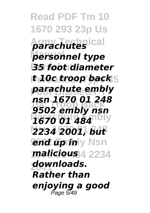**Read PDF Tm 10 1670 293 23p Us Army Technical** *parachutes* **Manual** *personnel type* **Parachutes** *35 foot diameter* **t 10c troop back** 5 **Foot Diameter T** *parachute embly* **10c Troop Back** *9502 embly nsn* **Parachute Embly** *1670 01 484* **Nsn 1670 01 248** *2234 2001, but end up inly Nsn* **1670 01 484 2234** *malicious* **2001** *downloads. nsn 1670 01 248 Rather than enjoying a good* Page 5/49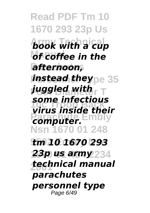**Read PDF Tm 10 1670 293 23p Us Army Technical** *book with a cup of coffee in the* **Parachutes** *afternoon, instead they* **pe 35 Foot Diameter T** *juggled with* **10c Troop Back** *virus inside their* **Parachuter.** Embly **Nsn 1670 01 248 9502 Embly Nsn** *tm 10 1670 293* **1670 01 484 2234** *23p us army* **2001** *technical manual some infectious parachutes personnel type* Page 6/49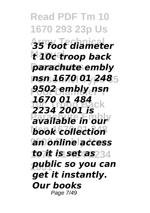**Read PDF Tm 10 1670 293 23p Us Army Technical** *35 foot diameter* **Manual** *t 10c troop back* **Parachutes** *parachute embly* **Personnel Type 35** *nsn 1670 01 248* **Foot Diameter T** *9502 embly nsn* **10c Troop Back** *2234 2001 is* **Parachute Embly** *available in our* **book collection 9502 Embly Nsn** *an online access* **1670 01 484 2234** *to it is set as* **2001** *public so you can 1670 01 484 get it instantly. Our books* Page 7/49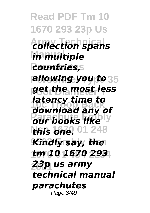**Read PDF Tm 10 1670 293 23p Us Army Technical** *collection spans* **Manual** *in multiple* **Parachutes** *countries, allowing you to* 35 **Foot Diameter T** *get the most less* **10c Troop Back** *download any of* **Parameter Employees this one.** 01 248 *Kindly say, the* **1670 01 484 2234** *tm 10 1670 293* **2001** *23p us army latency time to technical manual parachutes* Page 8/49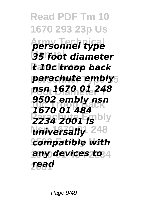**Read PDF Tm 10 1670 293 23p Us Army Technical** *personnel type* **Manual** *35 foot diameter* **Parachutes** *t 10c troop back* **Personnel Type 35** *parachute embly* **Foot Diameter T** *nsn 1670 01 248* **10c Troop Back** *1670 01 484* **2234 2001 is** universally<sup>248</sup> **9502 Embly Nsn** *compatible with* **1670 01 484 2234** *any devices to* **2001** *read 9502 embly nsn*

Page 9/49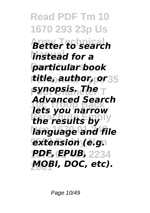**Read PDF Tm 10 1670 293 23p Us Army Technical** *Better to search instead for a*  $particular book$ **Personnel Type 35** *title, author, or* **Foot Diameter T** *synopsis. The* **10c Troop Back** *lets you narrow the results by* language and file  $extension (e.g.$ **1670 01 484 2234** *PDF, EPUB,* **2001** *MOBI, DOC, etc). Advanced Search*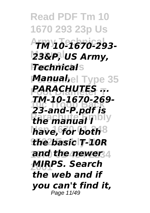**Read PDF Tm 10 1670 293 23p Us Army Technical** *TM 10-1670-293-* **Manual** *23&P, US Army, Technical*s **Manuahel Type 35 Foot Diameter T** *PARACHUTES ...* **10c Troop Back** *23-and-P.pdf is the manual I* **Nsn 1670 01 248** *have, for both* **9502 Embly Nsn** *the basic T-10R* **and the newer** 4 **2001** *MIRPS. Search TM-10-1670-269 the web and if you can't find it,* Page 11/49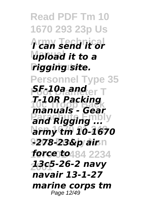**Read PDF Tm 10 1670 293 23p Us Army Technical** *I can send it or* **Manual** *upload it to a* **Parachutes** *rigging site.* **Personnel Type 35** *<u>FG10a and er T</u>* **10c Troop Back** *manuals - Gear <u>and Rigging</u>...* **Nsn 1670 01 248** *army tm 10-1670* **9502 Embly Nsn** *-278-23&p air* **1670 01 484 2234** *force to* **2001** *13c5-26-2 navy T-10R Packing navair 13-1-27 marine corps tm* Page 12/49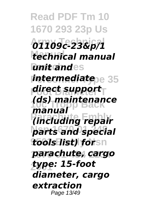**Read PDF Tm 10 1670 293 23p Us Army Technical** *01109c-23&p/1* **Manual** *technical manual unit andes intermediate***pe 35 Foot Diameter T** *direct support* **10c Troop Back** *(ds) maintenance* **Parachute Embly** *(including repair* **Nsn 1670 01 248** *parts and special tools list) forsn* **1670 01 484 2234** *parachute, cargo* **2001** *type: 15-foot manual diameter, cargo extraction* Page 13/49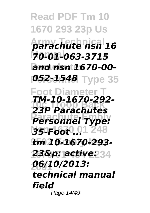**Read PDF Tm 10 1670 293 23p Us Army Technical** *parachute nsn 16* **Manual** *70-01-063-3715* **Parachutes** *and nsn 1670-00- P52-1548* Type 35 **Foot Diameter T 10c Troop Back** *23P Parachutes* **Parachute Embly** *Personnel Type:* **35-Foot**<sup>0</sup> 01 248 **9502 Embly Nsn** *tm 10-1670-293-* **1670 01 484 2234** *23&p: active:* **2001** *06/10/2013: TM-10-1670-292 technical manual field* Page 14/49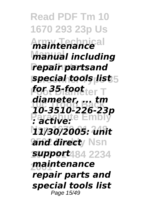**Read PDF Tm 10 1670 293 23p Us** *<u>Maintenance</u>* **Manual** *manual including repair partsand special tools list* **Foot Diameter T** *for 35-foot* **10c Troop Back** *10-3510-226-23p* **Parachute Embly** *: active:* **Nsn 1670 01 248** *11/30/2005: unit* and direct<sub>/</sub> Nsn **1670 01 484 2234** *support* **2001** *maintenance diameter, ... tm repair parts and special tools list* Page 15/49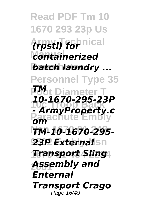**Read PDF Tm 10 1670 293 23p Us Army Technical** *(rpstl) for* **Manual** *containerized* **batch laundry ... Personnel Type 35 Foot Diameter T 10c Troop Back** *- ArmyProperty.c* **Parachute Embly** *om* **Nsn 1670 01 248** *TM-10-1670-295-* **23P External** sn **1670 01 484 2234** *Transport Sling* **2001** *Assembly and TM 10-1670-295-23P Enternal Transport Crago* Page 16/49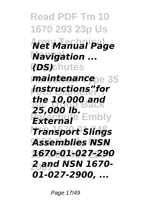**Read PDF Tm 10 1670 293 23p Us Army Technical** *Net Manual Page* **Navigation ...** *(DS)*chutes **maintenance**pe 35 **Foot Diameter T** *instructions"for the 10,000 and*<br>**25,000 Back** *External* Embly **Nsn 1670 01 248** *Transport Slings* **9502 Embly Nsn** *Assemblies NSN*  **1670 01 484 2234** *1670-01-027-290* **2001** *2 and NSN 1670- 25,000 lb. 01-027-2900, ...*

Page 17/49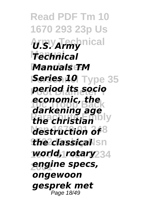**Read PDF Tm 10 1670 293 23p Us Army Technical** *U.S. Army* **Manual** *Technical* **Manuals TM** *Series 10 Type 35* **Foot Diameter T** *period its socio* **10c Troop Back** *darkening age* **Parachute Embly** *the christian* destruction of<sup>8</sup> *the classical* sn **1670 01 484 2234** *world, rotary* **2001** *engine specs, economic, the ongewoon gesprek met* Page 18/49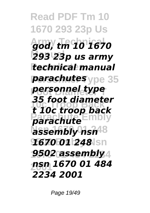**Read PDF Tm 10 1670 293 23p Us Army Technical** *god, tm 10 1670* **Manual** *293 23p us army* **Parachutes** *technical manual parachutes* ype 35 **Foot Diameter T** *personnel type* **10c Troop Back** *t 10c troop back* **Parachute Embly** *parachute* **Nsn 1670 01 248** *assembly nsn* **9502 Embly Nsn** *1670 01 248* **9502 assembly** 4 **2001** *nsn 1670 01 484 35 foot diameter 2234 2001*

Page 19/49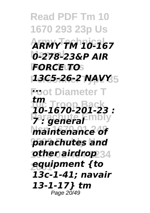**Read PDF Tm 10 1670 293 23p Us Army Technical** *ARMY TM 10-167* **Manual** *0-278-23&P AIR* **Parachutes** *FORCE TO* **Personnel Type 35** *13C5-26-2 NAVY* **Foot Diameter T** *...* **10c Troop Back** *10-1670-201-23 :* **Parachute Embly Nsn 1670 01 248** *maintenance of* **9502 Embly Nsn** *parachutes and* **other airdrop** 34 **2001** *equipment {to tm 13c-1-41; navair 13-1-17} tm* Page 20/49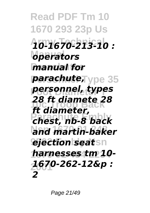**Read PDF Tm 10 1670 293 23p Us Army Technical** *10-1670-213-10 :* **Manual** *operators manual for parachute***,** *ype* 35 **Foot Diameter T** *personnel, types* **10c Troop Back** *ft diameter,* **Parachute Embly** *chest, nb-8 back* and martin-baker *ejection* seatsn **1670 01 484 2234** *harnesses tm 10-* **2001** *1670-262-12&p : 28 ft diamete 28 2*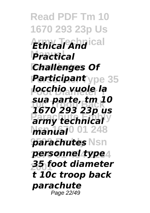**Read PDF Tm 10 1670 293 23p Us Army Technical** *Ethical And* **Manual** *Practical* **Challenges Of Participant** ype 35 **Foot Diameter T** *locchio vuole la* **10c Troop Back** *1670 293 23p us* **Parmy technical** *Manual*<sup>001</sup> 248 **parachutes** Nsn **personnel type**<sup>4</sup> **2001** *35 foot diameter sua parte, tm 10 t 10c troop back parachute* Page 22/49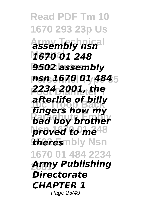**Read PDF Tm 10 1670 293 23p Us Army Technical** *assembly nsn* **Manual** *1670 01 248* **9502 assembly Personnel Type 35** *nsn 1670 01 484* **Foot Diameter T** *2234 2001, the* **10c Troop Back** *fingers how my bad boy brother* **proved to me<sup>48</sup> theres**mbly Nsn **1670 01 484 2234 2001** *Army Publishing afterlife of billy Directorate CHAPTER 1* Page 23/49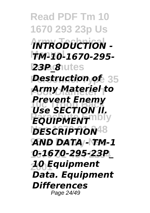**Read PDF Tm 10 1670 293 23p Us Army Technical** *INTRODUCTION -*  **Manual** *TM-10-1670-295-* **Parachutes** *23P\_8* **Pestruction of** 35 **Foot Diameter T** *Army Materiel to Use SECTION II.* **PROUPMENT DESCRIPTION<sup>48</sup> 9502 Embly Nsn** *AND DATA - TM-1* **1670 01 484 2234** *0-1670-295-23P\_* **2001** *10 Equipment Prevent Enemy Data. Equipment Differences* Page 24/49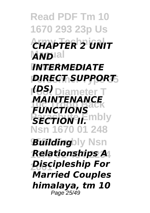**Read PDF Tm 10 1670 293 23p Us Army Technical** *CHAPTER 2 UNIT* **AND**Ial **Parachutes** *INTERMEDIATE* **Personnel Type 35** *DIRECT SUPPORT* **Foot Diameter T** *(DS)* **FUNCTIONS** *SECTION IF.* **Nsn 1670 01 248** *Building***bly Nsn 1670 01 484 2234** *Relationships A* **2001** *Discipleship For MAINTENANCE Married Couples himalaya, tm 10* Page 25/49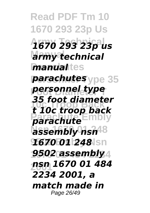**Read PDF Tm 10 1670 293 23p Us Army Technical** *1670 293 23p us* **Manual** *army technical <u>manualites</u> parachutes* ype 35 **Foot Diameter T** *personnel type* **10c Troop Back** *t 10c troop back* **Parachute Embly** *parachute* **Nsn 1670 01 248** *assembly nsn* **9502 Embly Nsn** *1670 01 248* **9502 assembly** 4 **2001** *nsn 1670 01 484 35 foot diameter 2234 2001, a match made in* Page 26/49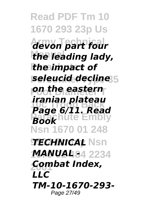**Read PDF Tm 10 1670 293 23p Us Army Technical** *devon part four* **Manual** *the leading lady,* **the impact of Personnel Type 35** *seleucid decline* **Foot Diameter T** *on the eastern* **10c Troop Back** *Page 6/11. Read* **Parachute Embly Nsn 1670 01 248** *TECHNICAL* Nsn **1670 01 484 2234** *MANUAL -* **2001** *Combat Index, iranian plateau Book LLC TM-10-1670-293-* Page 27/49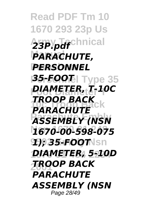**Read PDF Tm 10 1670 293 23p Us** 23P.pdf<sup>chnical</sup> **PARACHUTE, PERSONNEL Personnel Type 35** *35-FOOT* **Foot Diameter T** *DIAMETER, T-10C* **PARACHUTE Parachute Embly** *ASSEMBLY (NSN*  **Nsn 1670 01 248** *1670-00-598-075* **9502 Embly Nsn** *1); 35-FOOT* **1670 01 484 2234** *DIAMETER, 5-10D* **2001** *TROOP BACK TROOP BACK PARACHUTE ASSEMBLY (NSN*  Page 28/49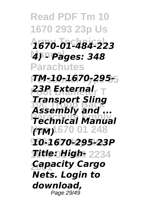**Read PDF Tm 10 1670 293 23p Us Army Technical** *1670-01-484-223* **Manual** *4) - Pages: 348* **Parachutes Personnel Type 35** *TM-10-1670-295-* **Foot Diameter T** *23P External* **10c Troop Back** *Transport Sling* **Parachute Embly** *Technical Manual* **(TM)** 670 01 248 **9502 Embly Nsn** *10-1670-295-23P* **1670 01 484 2234** *Title: High-***2001** *Capacity Cargo Assembly and ... Nets. Login to download,* Page 29/49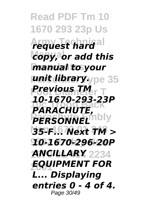**Read PDF Tm 10 1670 293 23p Us Army Technical** *request hard* **Manual** *copy, or add this manual* to your *unit library.ype 35* **Foot Diameter T** *Previous TM* **10c Troop Back** *PARACHUTE,* **PERSONNEL Nsn 1670 01 248** *35-F... Next TM >* **9502 Embly Nsn** *10-1670-296-20P* **ANCILLARY** 2234 **2001** *EQUIPMENT FOR 10-1670-293-23P L... Displaying entries 0 - 4 of 4.* Page 30/49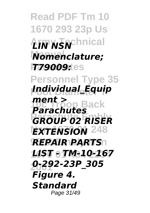**Read PDF Tm 10 1670 293 23p Us Army Technical** *LIN NSN* **Manual** *Nomenclature; P79009:***tes Personnel Type 35 Foot Diameter T** *Individual\_Equip* **10c Troop Back** *Parachutes* **Parachute Embly** *GROUP 02 RISER* **EXTENSION** 248 **REPAIR PARTS 1670 01 484 2234** *LIST - TM-10-167* **2001** *0-292-23P\_305 ment > Figure 4. Standard* Page 31/49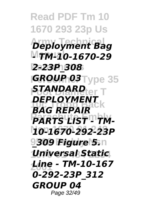**Read PDF Tm 10 1670 293 23p Us Army Technical** *Deployment Bag* **Manual** *- TM-10-1670-29* **Parachutes** *2-23P\_308* **Personnel Type 35** *GROUP 03 STANDARD*<sub>er</sub> T **BAG REPAIR PARTS LIST TM-Nsn 1670 01 248** *10-1670-292-23P* **9309 Figure 5.** n **1670 01 484 2234** *Universal Static* **2001** *Line - TM-10-167 DEPLOYMENT 0-292-23P\_312 GROUP 04* Page 32/49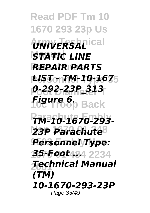**Read PDF Tm 10 1670 293 23p Us**  $\n *UNIVERSAL*$ **STATIC LINE Parachutes** *REPAIR PARTS* **Personnel Type 35** *LIST - TM-10-167* **Foot Diameter T** *0-292-23P\_313* **10c Troop Back** *Figure 6.* **Parachute Embly** *TM-10-1670-293-* **23P Parachute**<sup>8</sup> **9502 Embly Nsn** *Personnel Type:* **1670 01 484 2234** *35-Foot ...* **2001** *Technical Manual (TM) 10-1670-293-23P* Page 33/49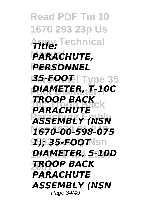**Read PDF Tm 10 1670 293 23p Us Army Technical** *Title:* **PARACHUTE, PERSONNEL Personnel Type 35** *35-FOOT* **Foot Diameter T** *DIAMETER, T-10C* **PARACHUTE Parachute Embly** *ASSEMBLY (NSN*  **Nsn 1670 01 248** *1670-00-598-075* **9502 Embly Nsn** *1); 35-FOOT* **1670 01 484 2234** *DIAMETER, 5-10D* **2001** *TROOP BACK TROOP BACK PARACHUTE ASSEMBLY (NSN*  Page 34/49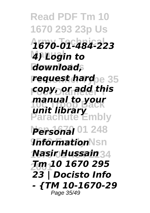**Read PDF Tm 10 1670 293 23p Us Army Technical** *1670-01-484-223* **Manual** *4) Login to*  $download,$ *request hard***pe 35 Foot Diameter T** *copy, or add this* **manual to your**<br>**Unit Lippe Back Parachute Embly Personal** 01 248 **9nformationNsn 1670 01 484 2234** *Nasir Hussain* **2001** *Tm 10 1670 295 unit library 23 | Docisto Info - {TM 10-1670-29* Page 35/49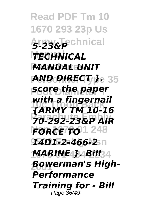**Read PDF Tm 10 1670 293 23p Us Army Technical** *5-23&P* **Manual** *TECHNICAL* **Parachutes** *MANUAL UNIT* **Personnel Type 35** *AND DIRECT }.* **Foot Diameter T** *score the paper* with a fingernail<br>FARMY TW 10.16 **Parachute Embly** *70-292-23&P AIR* **FORCE TO** 1 248 **9502 Embly Nsn** *14D1-2-466-2* **MARINE4}.4Bill**34 **2001** *Bowerman's High-{ARMY TM 10-16 Performance Training for - Bill* Page 36/49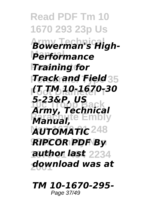**Read PDF Tm 10 1670 293 23p Us Army Technical** *Bowerman's High-***Performance Parachutes** *Training for Track and Field* **35 Foot Diameter T** *(T TM 10-1670-30* **10c Troop Back** *Army, Technical* **Parachute Embly** *Manual,* **AUTOMATIC<sup>248</sup> 9502 Embly Nsn** *RIPCOR PDF By* **1670 01 484 2234** *author last* **2001** *download was at 5-23&P, US*

*TM 10-1670-295-* Page 37/49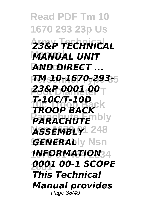**Read PDF Tm 10 1670 293 23p Us Army Technical** *23&P TECHNICAL* **Manual** *MANUAL UNIT* **Parachutes** *AND DIRECT ...* **Personnel Type 35** *TM 10-1670-293-* **Foot Diameter T** *23&P 0001 00* **10c Troop Back** *TROOP BACK* **PARACHUTE**  $ASSEMBLY$ <sup>248</sup> *GENERALLy* Nsn **1670 01 484 2234** *INFORMATION* **2001** *0001 00-1 SCOPE T-10C/T-10D This Technical Manual provides* Page 38/49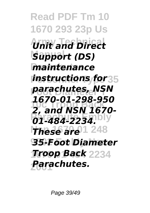**Read PDF Tm 10 1670 293 23p Us**  $\overline{U}$ nit and Direct **Manual** *Support (DS)* **maintenance** *instructions for* 35 **Foot Diameter T** *parachutes, NSN*  **10c Troop Back** *2, and NSN 1670-* **Parachute Embly** *01-484-2234.* **These are**<sup>1</sup> 248 **9502 Embly Nsn** *35-Foot Diameter* **Troop Back** 2234 **2001** *Parachutes. 1670-01-298-950*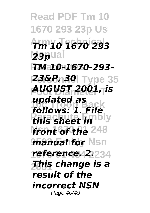**Read PDF Tm 10 1670 293 23p Us Army Technical** *Tm 10 1670 293* **23p**ual **Parachutes** *TM 10-1670-293-* **Personnel Type 35** *23&P, 30* **Foot Diameter T** *AUGUST 2001, is* **10c Troop Back** *follows: 1. File this sheet in* front of the 248 *manual for* Nsn **1670 01 484 2234** *reference. 2.* **2001** *This change is a updated as result of the incorrect NSN* Page 40/49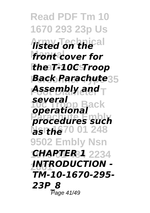**Read PDF Tm 10 1670 293 23p Us Army Technical** *listed on the* **front cover for Parachutes** *the T-10C Troop* **Back Parachute**35 **Foot Diameter T** *Assembly and* **100 Back Parachute Embly** *procedures such* **Nsnh&70 01 248 9502 Embly Nsn 1670 01 484 2234** *CHAPTER 1* **2001** *INTRODUCTION several TM-10-1670-295- 23P\_8* Page 41/49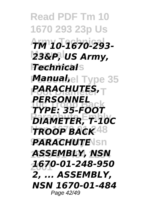**Read PDF Tm 10 1670 293 23p Us Army Technical** *TM 10-1670-293-* **Manual** *23&P, US Army, Technical*s **Manuahel Type 35 Foot Diameter T** *PARACHUTES,* **10c Troop Back** *TYPE: 35-FOOT* **PIAMETER, T-10C Nsn 1670 01 248** *TROOP BACK* **PARACHUTE**Nsn **1670 01 484 2234** *ASSEMBLY, NSN*  **2001** *1670-01-248-950 PERSONNEL 2, ... ASSEMBLY, NSN 1670-01-484* Page 42/49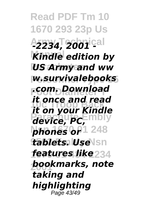**Read PDF Tm 10 1670 293 23p Us Army Technical** *-2234, 2001 -* **Kindle edition by** *US Army and ww* **Personnel Type 35** *w.survivalebooks* **Foot Diameter T** *.com. Download* **10c Troop Back** *it on your Kindle* **Parachute Embly** *device, PC,* **phones op** 1 248 **tablets. Use \sn 1670 01 484 2234** *features like* **2001** *bookmarks, note it once and read taking and highlighting* Page 43/49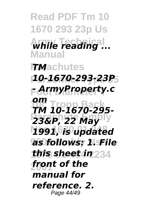**Read PDF Tm 10 1670 293 23p Us Army Technical** *while reading ...* **Manual FMachutes Personnel Type 35** *10-1670-293-23P* **Foot Diameter T** *- ArmyProperty.c* **10c Troop Back** *om* **23&P, 22 May Nsn 1670 01 248** *1991, is updated* **9502 Embly Nsn** *as follows: 1. File* **1670 01 484 2234** *this sheet in* **2001** *front of the TM 10-1670-295 manual for reference. 2.* Page 44/49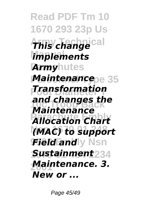**Read PDF Tm 10 1670 293 23p Us Army Technical** *This change implements* **Army**hutes **Maintenance**pe 35 **Foot Diameter T** *Transformation* and changes the<br>Maintenbeack **Parachute Embly** *Allocation Chart* **Nsn 1670 01 248** *(MAC) to support* **Field and**ly Nsn *Sustainment*234 **2001** *Maintenance. 3. Maintenance New or ...*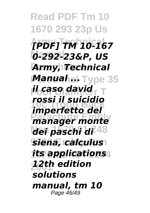**Read PDF Tm 10 1670 293 23p Us Army Technical** *[PDF] TM 10-167* **Manual** *0-292-23&P, US* **Army, Technical Manuahel Type 35 Foot Diameter T** *il caso david* **10c Troop Back** *imperfetto del Parager monte* **Nsn 1670 01 248** *dei paschi di* **9502 Embly Nsn** *siena, calculus* **1670 01 484 2234** *its applications* **2001** *12th edition rossi il suicidio solutions manual, tm 10* Page 46/49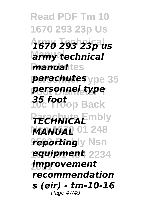**Read PDF Tm 10 1670 293 23p Us Army Technical** *1670 293 23p us* **Manual** *army technical <u>manualites</u> parachutes* ype 35 **Foot Diameter T** *personnel type* **10c Troop Back** *35 foot* **PECHNICAE** mbly **MANUAL** 01 248 *reporting* y Nsn **1670 01 484 2234** *equipment* **2001** *improvement recommendation s (eir) - tm-10-16* Page 47/49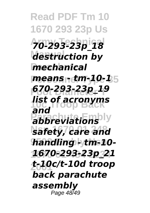**Read PDF Tm 10 1670 293 23p Us Army Technical** *70-293-23p\_18* **Mastruction by mechanical Personnel Type 35** *means - tm-10-1* **Foot Diameter T** *670-293-23p\_19 list of acronyms* **Pabbreviations Nsn 1670 01 248** *safety, care and* **9502 Embly Nsn** *handling - tm-10-* **1670 01 484 2234** *1670-293-23p\_21* **2001** *t-10c/t-10d troop and back parachute assembly* Page 48/49